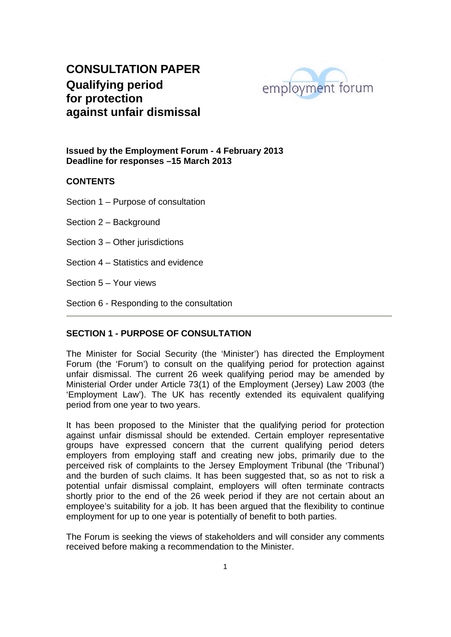

**Issued by the Employment Forum - 4 February 2013 Deadline for responses –15 March 2013** 

#### **CONTENTS**

Section 1 – Purpose of consultation

Section 2 – Background

Section 3 – Other jurisdictions

Section 4 – Statistics and evidence

Section 5 – Your views

Section 6 - Responding to the consultation

### **SECTION 1 - PURPOSE OF CONSULTATION**

The Minister for Social Security (the 'Minister') has directed the Employment Forum (the 'Forum') to consult on the qualifying period for protection against unfair dismissal. The current 26 week qualifying period may be amended by Ministerial Order under Article 73(1) of the Employment (Jersey) Law 2003 (the 'Employment Law'). The UK has recently extended its equivalent qualifying period from one year to two years.

It has been proposed to the Minister that the qualifying period for protection against unfair dismissal should be extended. Certain employer representative groups have expressed concern that the current qualifying period deters employers from employing staff and creating new jobs, primarily due to the perceived risk of complaints to the Jersey Employment Tribunal (the 'Tribunal') and the burden of such claims. It has been suggested that, so as not to risk a potential unfair dismissal complaint, employers will often terminate contracts shortly prior to the end of the 26 week period if they are not certain about an employee's suitability for a job. It has been argued that the flexibility to continue employment for up to one year is potentially of benefit to both parties.

The Forum is seeking the views of stakeholders and will consider any comments received before making a recommendation to the Minister.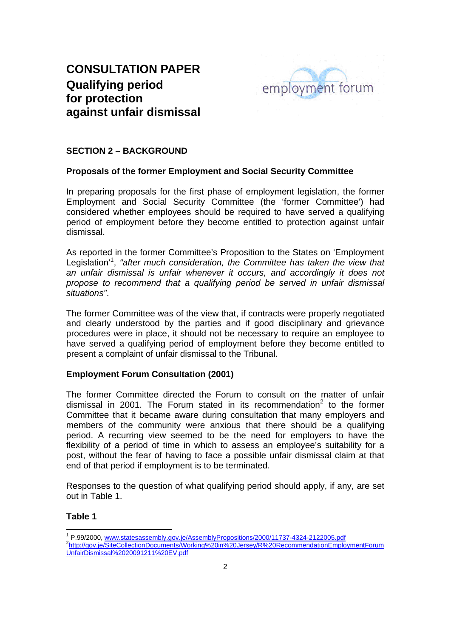

### **SECTION 2 – BACKGROUND**

#### **Proposals of the former Employment and Social Security Committee**

In preparing proposals for the first phase of employment legislation, the former Employment and Social Security Committee (the 'former Committee') had considered whether employees should be required to have served a qualifying period of employment before they become entitled to protection against unfair dismissal.

As reported in the former Committee's Proposition to the States on 'Employment Legislation<sup>'1</sup>, "after much consideration, the Committee has taken the view that *an unfair dismissal is unfair whenever it occurs, and accordingly it does not propose to recommend that a qualifying period be served in unfair dismissal situations"*.

The former Committee was of the view that, if contracts were properly negotiated and clearly understood by the parties and if good disciplinary and grievance procedures were in place, it should not be necessary to require an employee to have served a qualifying period of employment before they become entitled to present a complaint of unfair dismissal to the Tribunal.

### **Employment Forum Consultation (2001)**

The former Committee directed the Forum to consult on the matter of unfair dismissal in 2001. The Forum stated in its recommendation<sup>2</sup> to the former Committee that it became aware during consultation that many employers and members of the community were anxious that there should be a qualifying period. A recurring view seemed to be the need for employers to have the flexibility of a period of time in which to assess an employee's suitability for a post, without the fear of having to face a possible unfair dismissal claim at that end of that period if employment is to be terminated.

Responses to the question of what qualifying period should apply, if any, are set out in Table 1.

#### **Table 1**

 <sup>1</sup> P.99/2000, <u>www.statesassembly.gov.je/AssemblyPropositions/2000/11737-4324-2122005.pdf</u><br><sup>2</sup>http://gov.jp/SiteCellestionDesumente/Marking%20in%20.leres//P%20BecommendationEmplo http://gov.je/SiteCollectionDocuments/Working%20in%20Jersey/R%20RecommendationEmploymentForum UnfairDismissal%2020091211%20EV.pdf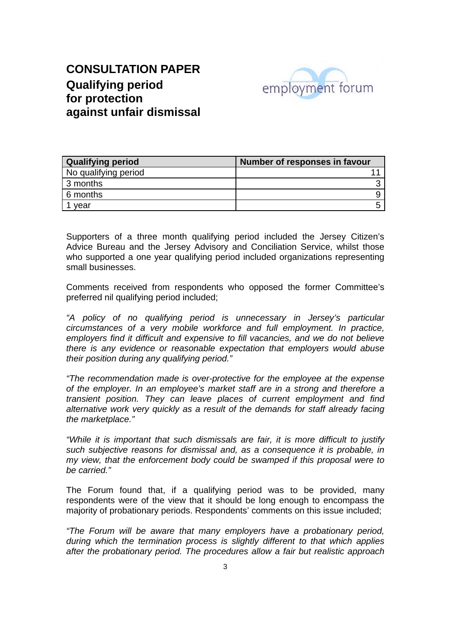

| <b>Qualifying period</b> | Number of responses in favour |
|--------------------------|-------------------------------|
| No qualifying period     |                               |
| 3 months                 |                               |
| 6 months                 |                               |
| vear                     | -                             |

Supporters of a three month qualifying period included the Jersey Citizen's Advice Bureau and the Jersey Advisory and Conciliation Service, whilst those who supported a one year qualifying period included organizations representing small businesses.

Comments received from respondents who opposed the former Committee's preferred nil qualifying period included;

*"A policy of no qualifying period is unnecessary in Jersey's particular circumstances of a very mobile workforce and full employment. In practice, employers find it difficult and expensive to fill vacancies, and we do not believe there is any evidence or reasonable expectation that employers would abuse their position during any qualifying period."* 

*"The recommendation made is over-protective for the employee at the expense of the employer. In an employee's market staff are in a strong and therefore a transient position. They can leave places of current employment and find alternative work very quickly as a result of the demands for staff already facing the marketplace."* 

*"While it is important that such dismissals are fair, it is more difficult to justify such subjective reasons for dismissal and, as a consequence it is probable, in my view, that the enforcement body could be swamped if this proposal were to be carried."* 

The Forum found that, if a qualifying period was to be provided, many respondents were of the view that it should be long enough to encompass the majority of probationary periods. Respondents' comments on this issue included;

*"The Forum will be aware that many employers have a probationary period, during which the termination process is slightly different to that which applies after the probationary period. The procedures allow a fair but realistic approach*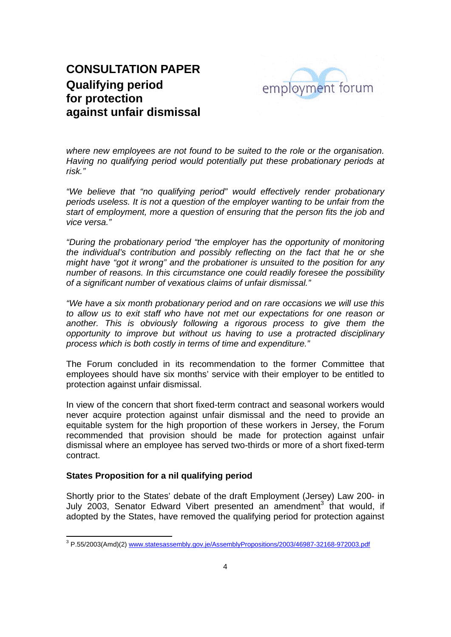

*where new employees are not found to be suited to the role or the organisation. Having no qualifying period would potentially put these probationary periods at risk."* 

*"We believe that "no qualifying period" would effectively render probationary periods useless. It is not a question of the employer wanting to be unfair from the start of employment, more a question of ensuring that the person fits the job and vice versa."* 

*"During the probationary period "the employer has the opportunity of monitoring the individual's contribution and possibly reflecting on the fact that he or she might have "got it wrong" and the probationer is unsuited to the position for any number of reasons. In this circumstance one could readily foresee the possibility of a significant number of vexatious claims of unfair dismissal."* 

*"We have a six month probationary period and on rare occasions we will use this to allow us to exit staff who have not met our expectations for one reason or another. This is obviously following a rigorous process to give them the opportunity to improve but without us having to use a protracted disciplinary process which is both costly in terms of time and expenditure."* 

The Forum concluded in its recommendation to the former Committee that employees should have six months' service with their employer to be entitled to protection against unfair dismissal.

In view of the concern that short fixed-term contract and seasonal workers would never acquire protection against unfair dismissal and the need to provide an equitable system for the high proportion of these workers in Jersey, the Forum recommended that provision should be made for protection against unfair dismissal where an employee has served two-thirds or more of a short fixed-term contract.

### **States Proposition for a nil qualifying period**

Shortly prior to the States' debate of the draft Employment (Jersey) Law 200- in July 2003, Senator Edward Vibert presented an amendment<sup>3</sup> that would, if adopted by the States, have removed the qualifying period for protection against

 3 P.55/2003(Amd)(2) www.statesassembly.gov.je/AssemblyPropositions/2003/46987-32168-972003.pdf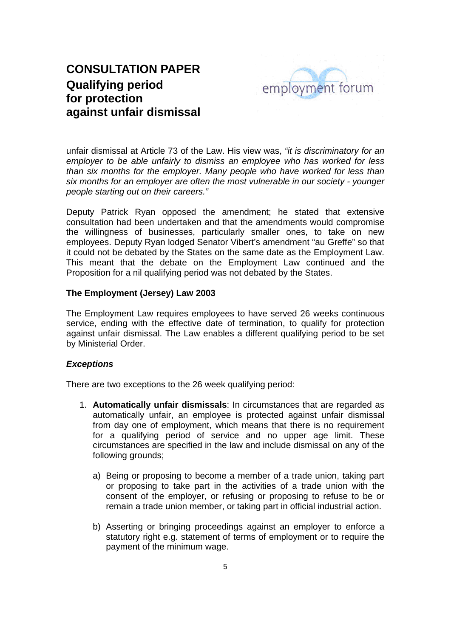

unfair dismissal at Article 73 of the Law. His view was, *"it is discriminatory for an employer to be able unfairly to dismiss an employee who has worked for less than six months for the employer. Many people who have worked for less than six months for an employer are often the most vulnerable in our society - younger people starting out on their careers."*

Deputy Patrick Ryan opposed the amendment; he stated that extensive consultation had been undertaken and that the amendments would compromise the willingness of businesses, particularly smaller ones, to take on new employees. Deputy Ryan lodged Senator Vibert's amendment "au Greffe" so that it could not be debated by the States on the same date as the Employment Law. This meant that the debate on the Employment Law continued and the Proposition for a nil qualifying period was not debated by the States.

#### **The Employment (Jersey) Law 2003**

The Employment Law requires employees to have served 26 weeks continuous service, ending with the effective date of termination, to qualify for protection against unfair dismissal. The Law enables a different qualifying period to be set by Ministerial Order.

#### *Exceptions*

There are two exceptions to the 26 week qualifying period:

- 1. **Automatically unfair dismissals**: In circumstances that are regarded as automatically unfair, an employee is protected against unfair dismissal from day one of employment, which means that there is no requirement for a qualifying period of service and no upper age limit. These circumstances are specified in the law and include dismissal on any of the following grounds;
	- a) Being or proposing to become a member of a trade union, taking part or proposing to take part in the activities of a trade union with the consent of the employer, or refusing or proposing to refuse to be or remain a trade union member, or taking part in official industrial action.
	- b) Asserting or bringing proceedings against an employer to enforce a statutory right e.g. statement of terms of employment or to require the payment of the minimum wage.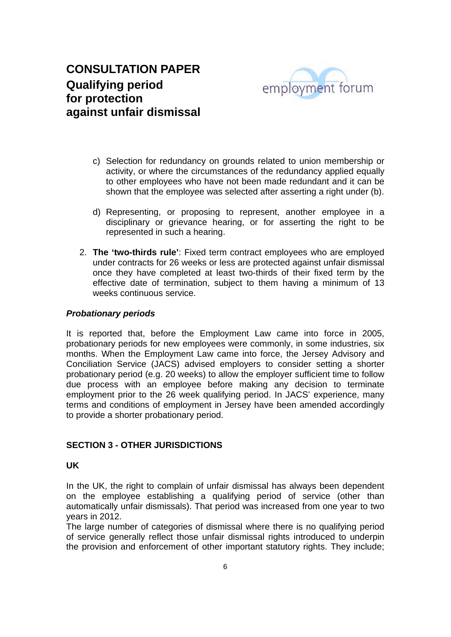

- c) Selection for redundancy on grounds related to union membership or activity, or where the circumstances of the redundancy applied equally to other employees who have not been made redundant and it can be shown that the employee was selected after asserting a right under (b).
- d) Representing, or proposing to represent, another employee in a disciplinary or grievance hearing, or for asserting the right to be represented in such a hearing.
- 2. **The 'two-thirds rule'**: Fixed term contract employees who are employed under contracts for 26 weeks or less are protected against unfair dismissal once they have completed at least two-thirds of their fixed term by the effective date of termination, subject to them having a minimum of 13 weeks continuous service.

#### *Probationary periods*

It is reported that, before the Employment Law came into force in 2005, probationary periods for new employees were commonly, in some industries, six months. When the Employment Law came into force, the Jersey Advisory and Conciliation Service (JACS) advised employers to consider setting a shorter probationary period (e.g. 20 weeks) to allow the employer sufficient time to follow due process with an employee before making any decision to terminate employment prior to the 26 week qualifying period. In JACS' experience, many terms and conditions of employment in Jersey have been amended accordingly to provide a shorter probationary period.

### **SECTION 3 - OTHER JURISDICTIONS**

### **UK**

In the UK, the right to complain of unfair dismissal has always been dependent on the employee establishing a qualifying period of service (other than automatically unfair dismissals). That period was increased from one year to two years in 2012.

The large number of categories of dismissal where there is no qualifying period of service generally reflect those unfair dismissal rights introduced to underpin the provision and enforcement of other important statutory rights. They include;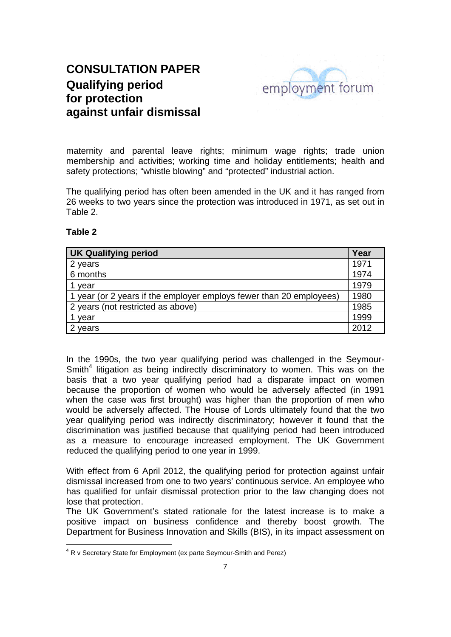

maternity and parental leave rights; minimum wage rights; trade union membership and activities; working time and holiday entitlements; health and safety protections; "whistle blowing" and "protected" industrial action.

The qualifying period has often been amended in the UK and it has ranged from 26 weeks to two years since the protection was introduced in 1971, as set out in Table 2.

### **Table 2**

| <b>UK Qualifying period</b>                                         |      |
|---------------------------------------------------------------------|------|
| 2 years                                                             | 1971 |
| 6 months                                                            | 1974 |
| year                                                                | 1979 |
| 1 year (or 2 years if the employer employs fewer than 20 employees) | 1980 |
| 2 years (not restricted as above)                                   | 1985 |
| year                                                                | 1999 |
| years                                                               | 2012 |

In the 1990s, the two year qualifying period was challenged in the Seymour-Smith $4$  litigation as being indirectly discriminatory to women. This was on the basis that a two year qualifying period had a disparate impact on women because the proportion of women who would be adversely affected (in 1991 when the case was first brought) was higher than the proportion of men who would be adversely affected. The House of Lords ultimately found that the two year qualifying period was indirectly discriminatory; however it found that the discrimination was justified because that qualifying period had been introduced as a measure to encourage increased employment. The UK Government reduced the qualifying period to one year in 1999.

With effect from 6 April 2012, the qualifying period for protection against unfair dismissal increased from one to two years' continuous service. An employee who has qualified for unfair dismissal protection prior to the law changing does not lose that protection.

The UK Government's stated rationale for the latest increase is to make a positive impact on business confidence and thereby boost growth. The Department for Business Innovation and Skills (BIS), in its impact assessment on

 4 R v Secretary State for Employment (ex parte Seymour-Smith and Perez)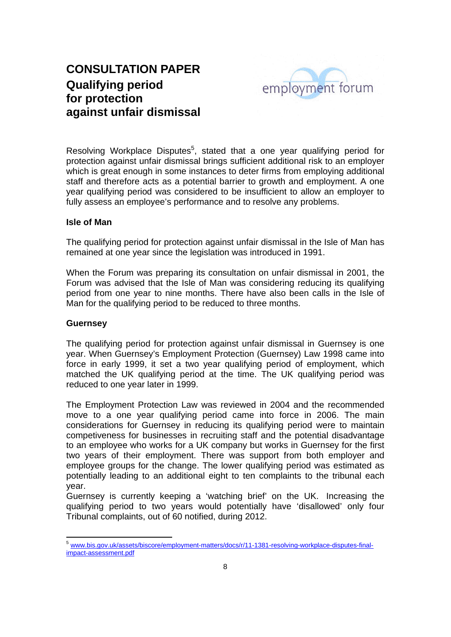

Resolving Workplace Disputes<sup>5</sup>, stated that a one year qualifying period for protection against unfair dismissal brings sufficient additional risk to an employer which is great enough in some instances to deter firms from employing additional staff and therefore acts as a potential barrier to growth and employment. A one year qualifying period was considered to be insufficient to allow an employer to fully assess an employee's performance and to resolve any problems.

#### **Isle of Man**

The qualifying period for protection against unfair dismissal in the Isle of Man has remained at one year since the legislation was introduced in 1991.

When the Forum was preparing its consultation on unfair dismissal in 2001, the Forum was advised that the Isle of Man was considering reducing its qualifying period from one year to nine months. There have also been calls in the Isle of Man for the qualifying period to be reduced to three months.

#### **Guernsey**

The qualifying period for protection against unfair dismissal in Guernsey is one year. When Guernsey's Employment Protection (Guernsey) Law 1998 came into force in early 1999, it set a two year qualifying period of employment, which matched the UK qualifying period at the time. The UK qualifying period was reduced to one year later in 1999.

The Employment Protection Law was reviewed in 2004 and the recommended move to a one year qualifying period came into force in 2006. The main considerations for Guernsey in reducing its qualifying period were to maintain competiveness for businesses in recruiting staff and the potential disadvantage to an employee who works for a UK company but works in Guernsey for the first two years of their employment. There was support from both employer and employee groups for the change. The lower qualifying period was estimated as potentially leading to an additional eight to ten complaints to the tribunal each year.

Guernsey is currently keeping a 'watching brief' on the UK. Increasing the qualifying period to two years would potentially have 'disallowed' only four Tribunal complaints, out of 60 notified, during 2012.

 <sup>5</sup> www.bis.gov.uk/assets/biscore/employment-matters/docs/r/11-1381-resolving-workplace-disputes-finalimpact-assessment.pdf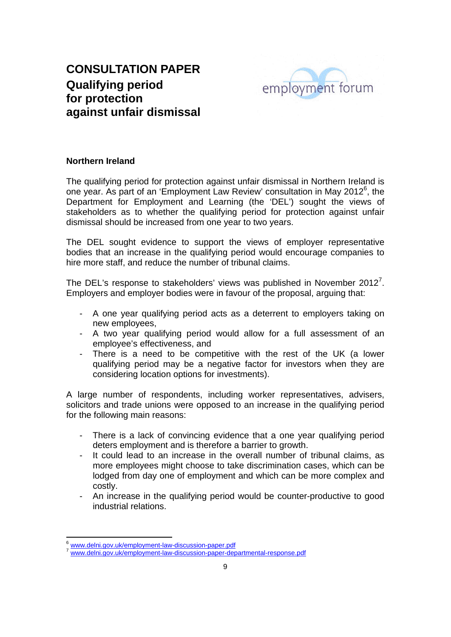

#### **Northern Ireland**

The qualifying period for protection against unfair dismissal in Northern Ireland is one year. As part of an 'Employment Law Review' consultation in May 2012<sup>6</sup>, the Department for Employment and Learning (the 'DEL') sought the views of stakeholders as to whether the qualifying period for protection against unfair dismissal should be increased from one year to two years.

The DEL sought evidence to support the views of employer representative bodies that an increase in the qualifying period would encourage companies to hire more staff, and reduce the number of tribunal claims.

The DEL's response to stakeholders' views was published in November 2012<sup>7</sup>. Employers and employer bodies were in favour of the proposal, arguing that:

- A one year qualifying period acts as a deterrent to employers taking on new employees,
- A two year qualifying period would allow for a full assessment of an employee's effectiveness, and
- There is a need to be competitive with the rest of the UK (a lower qualifying period may be a negative factor for investors when they are considering location options for investments).

A large number of respondents, including worker representatives, advisers, solicitors and trade unions were opposed to an increase in the qualifying period for the following main reasons:

- There is a lack of convincing evidence that a one year qualifying period deters employment and is therefore a barrier to growth.
- It could lead to an increase in the overall number of tribunal claims, as more employees might choose to take discrimination cases, which can be lodged from day one of employment and which can be more complex and costly.
- An increase in the qualifying period would be counter-productive to good industrial relations.

<sup>&</sup>lt;sup>6</sup> www.delni.gov.uk/employment-law-discussion-paper.pdf

www.delni.gov.uk/employment-law-discussion-paper-departmental-response.pdf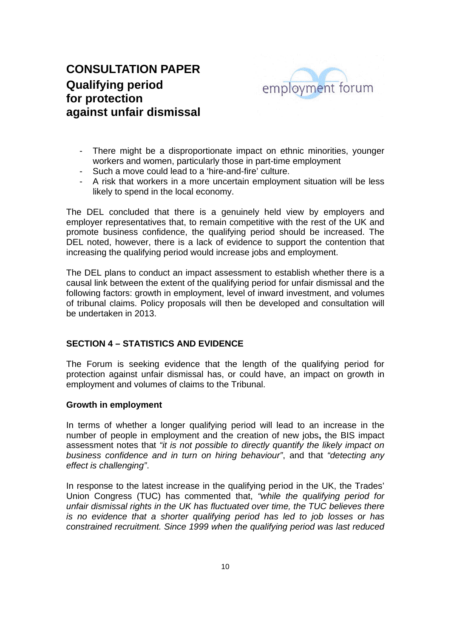

- There might be a disproportionate impact on ethnic minorities, younger workers and women, particularly those in part-time employment
- Such a move could lead to a 'hire-and-fire' culture.
- A risk that workers in a more uncertain employment situation will be less likely to spend in the local economy.

The DEL concluded that there is a genuinely held view by employers and employer representatives that, to remain competitive with the rest of the UK and promote business confidence, the qualifying period should be increased. The DEL noted, however, there is a lack of evidence to support the contention that increasing the qualifying period would increase jobs and employment.

The DEL plans to conduct an impact assessment to establish whether there is a causal link between the extent of the qualifying period for unfair dismissal and the following factors: growth in employment, level of inward investment, and volumes of tribunal claims. Policy proposals will then be developed and consultation will be undertaken in 2013.

#### **SECTION 4 – STATISTICS AND EVIDENCE**

The Forum is seeking evidence that the length of the qualifying period for protection against unfair dismissal has, or could have, an impact on growth in employment and volumes of claims to the Tribunal.

#### **Growth in employment**

In terms of whether a longer qualifying period will lead to an increase in the number of people in employment and the creation of new jobs**,** the BIS impact assessment notes that *"it is not possible to directly quantify the likely impact on business confidence and in turn on hiring behaviour"*, and that *"detecting any effect is challenging"*.

In response to the latest increase in the qualifying period in the UK, the Trades' Union Congress (TUC) has commented that, *"while the qualifying period for unfair dismissal rights in the UK has fluctuated over time, the TUC believes there is no evidence that a shorter qualifying period has led to job losses or has constrained recruitment. Since 1999 when the qualifying period was last reduced*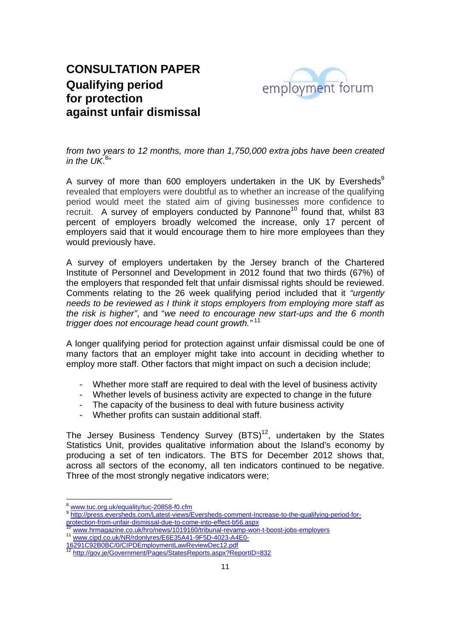

*from two years to 12 months, more than 1,750,000 extra jobs have been created*  in the UK. $^{8n}$ 

A survey of more than 600 employers undertaken in the UK by Eversheds<sup>9</sup> revealed that employers were doubtful as to whether an increase of the qualifying period would meet the stated aim of giving businesses more confidence to recruit. A survey of employers conducted by Pannone<sup>10</sup> found that, whilst 83 percent of employers broadly welcomed the increase, only 17 percent of employers said that it would encourage them to hire more employees than they would previously have.

A survey of employers undertaken by the Jersey branch of the Chartered Institute of Personnel and Development in 2012 found that two thirds (67%) of the employers that responded felt that unfair dismissal rights should be reviewed. Comments relating to the 26 week qualifying period included that it *"urgently needs to be reviewed as I think it stops employers from employing more staff as the risk is higher"*, and "*we need to encourage new start-ups and the 6 month trigger does not encourage head count growth."*<sup>11</sup>

A longer qualifying period for protection against unfair dismissal could be one of many factors that an employer might take into account in deciding whether to employ more staff. Other factors that might impact on such a decision include;

- Whether more staff are required to deal with the level of business activity
- Whether levels of business activity are expected to change in the future
- The capacity of the business to deal with future business activity
- Whether profits can sustain additional staff.

The Jersey Business Tendency Survey  $(BTS)^{12}$ , undertaken by the States Statistics Unit, provides qualitative information about the Island's economy by producing a set of ten indicators. The BTS for December 2012 shows that, across all sectors of the economy, all ten indicators continued to be negative. Three of the most strongly negative indicators were:

<sup>&</sup>lt;sup>8</sup> www.tuc.org.uk/equality/tuc-20858-f0.cfm<br>
<sup>9</sup> http://press.eversheds.com/Latest-views/Eversheds-comment-Increase-to-the-qualifying-period-for-<br>
<u>protection-from-unfair-dismissal-due-to-commentio-effect-b56.aspx</u>

<sup>&</sup>lt;sup>10</sup> www.hrmagazine.co.uk/hro/news/1019160/tribunal-revamp-won-t-boost-jobs-employers<br><sup>11</sup> www.cipd.co.uk/NR/rdonlyres/E6E35A41-9F5D-4023-A4E0-<br>16291C92B0BC/0/CIPDEmploymentLa<u>wReviewDec12.pdf</u>

http://gov.je/Government/Pages/StatesReports.aspx?ReportID=832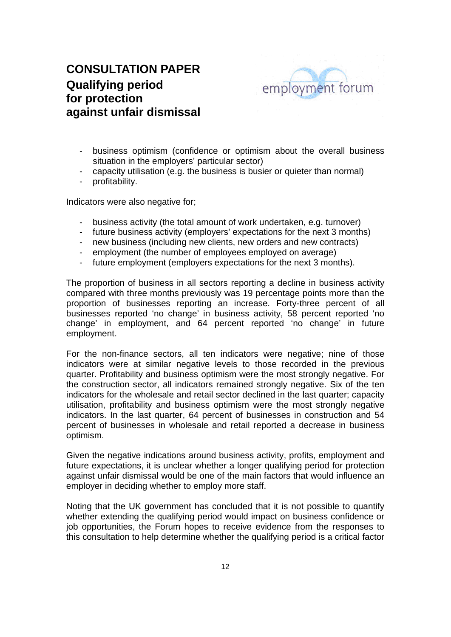

- business optimism (confidence or optimism about the overall business situation in the employers' particular sector)
- capacity utilisation (e.g. the business is busier or quieter than normal)
- profitability.

Indicators were also negative for;

- business activity (the total amount of work undertaken, e.g. turnover)
- future business activity (employers' expectations for the next 3 months)
- new business (including new clients, new orders and new contracts)
- employment (the number of employees employed on average)
- future employment (employers expectations for the next 3 months).

The proportion of business in all sectors reporting a decline in business activity compared with three months previously was 19 percentage points more than the proportion of businesses reporting an increase. Forty-three percent of all businesses reported 'no change' in business activity, 58 percent reported 'no change' in employment, and 64 percent reported 'no change' in future employment.

For the non-finance sectors, all ten indicators were negative; nine of those indicators were at similar negative levels to those recorded in the previous quarter. Profitability and business optimism were the most strongly negative. For the construction sector, all indicators remained strongly negative. Six of the ten indicators for the wholesale and retail sector declined in the last quarter; capacity utilisation, profitability and business optimism were the most strongly negative indicators. In the last quarter, 64 percent of businesses in construction and 54 percent of businesses in wholesale and retail reported a decrease in business optimism.

Given the negative indications around business activity, profits, employment and future expectations, it is unclear whether a longer qualifying period for protection against unfair dismissal would be one of the main factors that would influence an employer in deciding whether to employ more staff.

Noting that the UK government has concluded that it is not possible to quantify whether extending the qualifying period would impact on business confidence or job opportunities, the Forum hopes to receive evidence from the responses to this consultation to help determine whether the qualifying period is a critical factor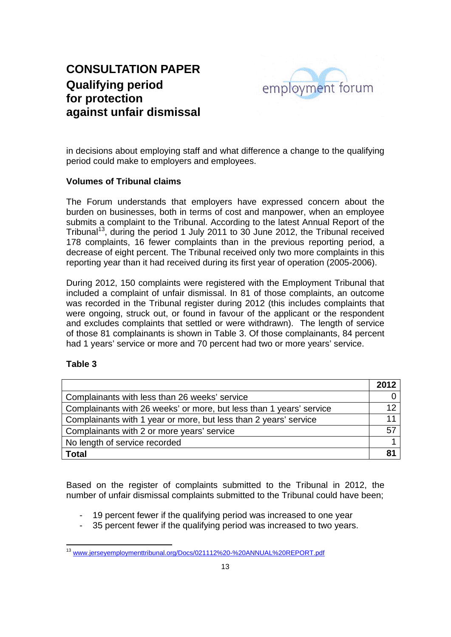

in decisions about employing staff and what difference a change to the qualifying period could make to employers and employees.

### **Volumes of Tribunal claims**

The Forum understands that employers have expressed concern about the burden on businesses, both in terms of cost and manpower, when an employee submits a complaint to the Tribunal. According to the latest Annual Report of the Tribunal<sup>13</sup>, during the period 1 July 2011 to 30 June 2012, the Tribunal received 178 complaints, 16 fewer complaints than in the previous reporting period, a decrease of eight percent. The Tribunal received only two more complaints in this reporting year than it had received during its first year of operation (2005-2006).

During 2012, 150 complaints were registered with the Employment Tribunal that included a complaint of unfair dismissal. In 81 of those complaints, an outcome was recorded in the Tribunal register during 2012 (this includes complaints that were ongoing, struck out, or found in favour of the applicant or the respondent and excludes complaints that settled or were withdrawn). The length of service of those 81 complainants is shown in Table 3. Of those complainants, 84 percent had 1 years' service or more and 70 percent had two or more years' service.

#### **Table 3**

|                                                                     | 2012 |
|---------------------------------------------------------------------|------|
| Complainants with less than 26 weeks' service                       |      |
| Complainants with 26 weeks' or more, but less than 1 years' service | 12   |
| Complainants with 1 year or more, but less than 2 years' service    |      |
| Complainants with 2 or more years' service                          | 57   |
| No length of service recorded                                       |      |
| <b>Total</b>                                                        |      |

Based on the register of complaints submitted to the Tribunal in 2012, the number of unfair dismissal complaints submitted to the Tribunal could have been;

- 19 percent fewer if the qualifying period was increased to one year
- 35 percent fewer if the qualifying period was increased to two years.

 <sup>13</sup> www.jerseyemploymenttribunal.org/Docs/021112%20-%20ANNUAL%20REPORT.pdf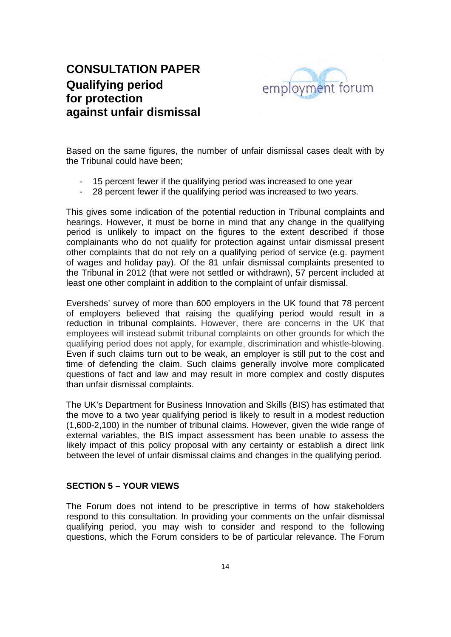

Based on the same figures, the number of unfair dismissal cases dealt with by the Tribunal could have been;

- 15 percent fewer if the qualifying period was increased to one year
- 28 percent fewer if the qualifying period was increased to two years.

This gives some indication of the potential reduction in Tribunal complaints and hearings. However, it must be borne in mind that any change in the qualifying period is unlikely to impact on the figures to the extent described if those complainants who do not qualify for protection against unfair dismissal present other complaints that do not rely on a qualifying period of service (e.g. payment of wages and holiday pay). Of the 81 unfair dismissal complaints presented to the Tribunal in 2012 (that were not settled or withdrawn), 57 percent included at least one other complaint in addition to the complaint of unfair dismissal.

Eversheds' survey of more than 600 employers in the UK found that 78 percent of employers believed that raising the qualifying period would result in a reduction in tribunal complaints. However, there are concerns in the UK that employees will instead submit tribunal complaints on other grounds for which the qualifying period does not apply, for example, discrimination and whistle-blowing. Even if such claims turn out to be weak, an employer is still put to the cost and time of defending the claim. Such claims generally involve more complicated questions of fact and law and may result in more complex and costly disputes than unfair dismissal complaints.

The UK's Department for Business Innovation and Skills (BIS) has estimated that the move to a two year qualifying period is likely to result in a modest reduction (1,600-2,100) in the number of tribunal claims. However, given the wide range of external variables, the BIS impact assessment has been unable to assess the likely impact of this policy proposal with any certainty or establish a direct link between the level of unfair dismissal claims and changes in the qualifying period.

#### **SECTION 5 – YOUR VIEWS**

The Forum does not intend to be prescriptive in terms of how stakeholders respond to this consultation. In providing your comments on the unfair dismissal qualifying period, you may wish to consider and respond to the following questions, which the Forum considers to be of particular relevance. The Forum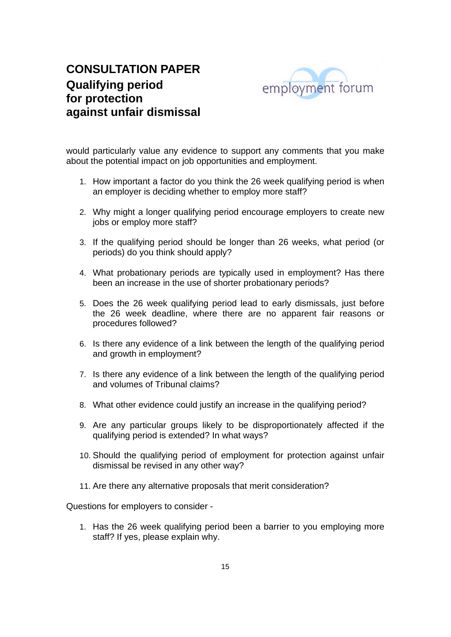

would particularly value any evidence to support any comments that you make about the potential impact on job opportunities and employment.

- 1. How important a factor do you think the 26 week qualifying period is when an employer is deciding whether to employ more staff?
- 2. Why might a longer qualifying period encourage employers to create new jobs or employ more staff?
- 3. If the qualifying period should be longer than 26 weeks, what period (or periods) do you think should apply?
- 4. What probationary periods are typically used in employment? Has there been an increase in the use of shorter probationary periods?
- 5. Does the 26 week qualifying period lead to early dismissals, just before the 26 week deadline, where there are no apparent fair reasons or procedures followed?
- 6. Is there any evidence of a link between the length of the qualifying period and growth in employment?
- 7. Is there any evidence of a link between the length of the qualifying period and volumes of Tribunal claims?
- 8. What other evidence could justify an increase in the qualifying period?
- 9. Are any particular groups likely to be disproportionately affected if the qualifying period is extended? In what ways?
- 10. Should the qualifying period of employment for protection against unfair dismissal be revised in any other way?
- 11. Are there any alternative proposals that merit consideration?

Questions for employers to consider -

1. Has the 26 week qualifying period been a barrier to you employing more staff? If yes, please explain why.